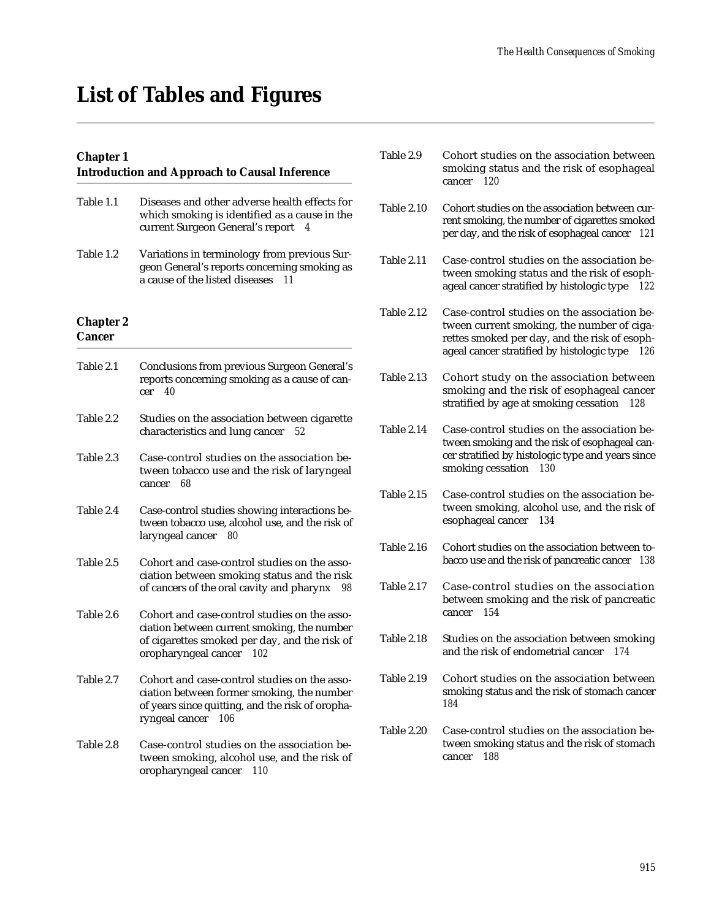# **List of Tables and Figures**

## **Chapter 1**

## **Introduction and Approach to Causal Inference**

| Table 1.1                         | Diseases and other adverse health effects for<br>which smoking is identified as a cause in the<br>current Surgeon General's report<br>4                                     |
|-----------------------------------|-----------------------------------------------------------------------------------------------------------------------------------------------------------------------------|
| Table 1.2                         | Variations in terminology from previous Sur-<br>geon General's reports concerning smoking as<br>a cause of the listed diseases<br>11                                        |
| <b>Chapter 2</b><br><b>Cancer</b> |                                                                                                                                                                             |
| Table 2.1                         | <b>Conclusions from previous Surgeon General's</b><br>reports concerning smoking as a cause of can-<br>40<br>cer                                                            |
| Table 2.2                         | Studies on the association between cigarette<br>characteristics and lung cancer<br>52                                                                                       |
| Table 2.3                         | Case-control studies on the association be-<br>tween tobacco use and the risk of laryngeal<br>68<br>cancer                                                                  |
| Table 2.4                         | Case-control studies showing interactions be-<br>tween tobacco use, alcohol use, and the risk of<br>laryngeal cancer<br>80                                                  |
| Table 2.5                         | Cohort and case-control studies on the asso-<br>ciation between smoking status and the risk<br>of cancers of the oral cavity and pharynx<br>98                              |
| Table 2.6                         | Cohort and case-control studies on the asso-<br>ciation between current smoking, the number<br>of cigarettes smoked per day, and the risk of<br>oropharyngeal cancer<br>102 |
| Table 2.7                         | Cohort and case-control studies on the asso-<br>ciation between former smoking, the number<br>of years since quitting, and the risk of oropha-<br>ryngeal cancer<br>106     |
| Table 2.8                         | Case-control studies on the association be-<br>tween smoking, alcohol use, and the risk of                                                                                  |

oropharyngeal cancer *110* 

| Table 2.9         | Cohort studies on the association between<br>smoking status and the risk of esophageal<br>120<br>cancer                                                                                         |
|-------------------|-------------------------------------------------------------------------------------------------------------------------------------------------------------------------------------------------|
| <b>Table 2.10</b> | Cohort studies on the association between cur-<br>rent smoking, the number of cigarettes smoked<br>per day, and the risk of esophageal cancer<br>121                                            |
| Table 2.11        | Case-control studies on the association be-<br>tween smoking status and the risk of esoph-<br>ageal cancer stratified by histologic type<br>122                                                 |
| Table 2.12        | Case-control studies on the association be-<br>tween current smoking, the number of ciga-<br>rettes smoked per day, and the risk of esoph-<br>ageal cancer stratified by histologic type<br>126 |
| <b>Table 2.13</b> | Cohort study on the association between<br>smoking and the risk of esophageal cancer<br>stratified by age at smoking cessation<br>128                                                           |
| Table 2.14        | Case-control studies on the association be-<br>tween smoking and the risk of esophageal can-<br>cer stratified by histologic type and years since<br>smoking cessation<br>130                   |
| Table 2.15        | Case-control studies on the association be-<br>tween smoking, alcohol use, and the risk of<br>esophageal cancer<br>134                                                                          |
| Table 2.16        | Cohort studies on the association between to-<br>bacco use and the risk of pancreatic cancer<br>138                                                                                             |
| Table 2.17        | Case-control studies on the association<br>between smoking and the risk of pancreatic<br>154<br>cancer                                                                                          |
| Table 2.18        | Studies on the association between smoking<br>and the risk of endometrial cancer<br>174                                                                                                         |
| <b>Table 2.19</b> | Cohort studies on the association between<br>smoking status and the risk of stomach cancer<br>184                                                                                               |
| <b>Table 2.20</b> | Case-control studies on the association be-<br>tween smoking status and the risk of stomach<br>188<br>cancer                                                                                    |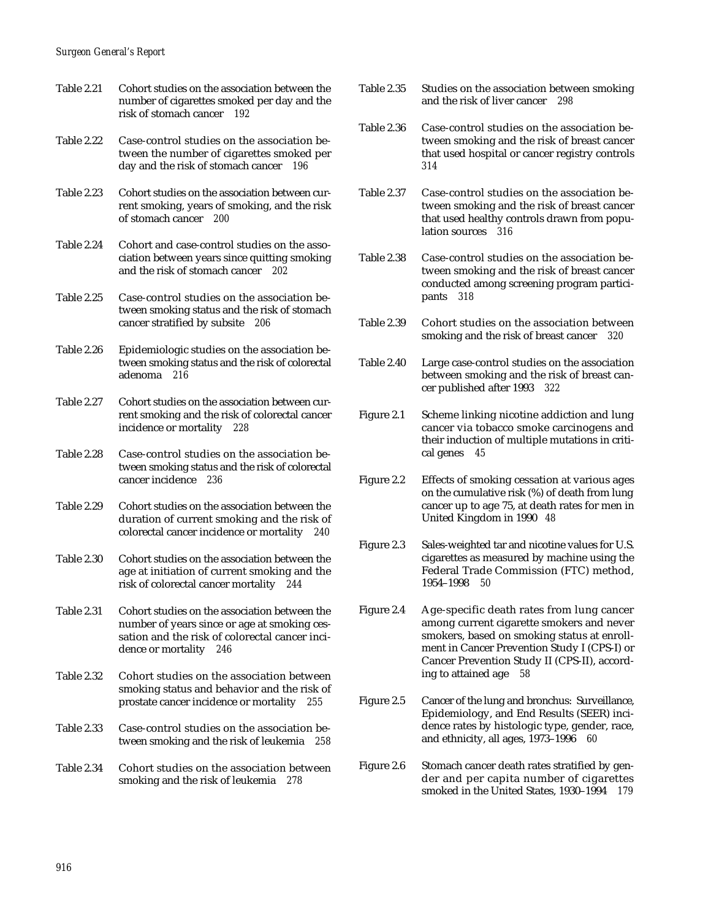- Table 2.21 Cohort studies on the association between the number of cigarettes smoked per day and the risk of stomach cancer *192*
- Table 2.22 Case-control studies on the association between the number of cigarettes smoked per day and the risk of stomach cancer *196*
- Table 2.23 Cohort studies on the association between current smoking, years of smoking, and the risk of stomach cancer *200*
- Table 2.24 Cohort and case-control studies on the association between years since quitting smoking and the risk of stomach cancer *202*
- Table 2.25 Case-control studies on the association between smoking status and the risk of stomach cancer stratified by subsite *206*
- Table 2.26 Epidemiologic studies on the association between smoking status and the risk of colorectal adenoma *216*
- Table 2.27 Cohort studies on the association between current smoking and the risk of colorectal cancer incidence or mortality *228*
- Table 2.28 Case-control studies on the association between smoking status and the risk of colorectal cancer incidence *236*
- Table 2.29 Cohort studies on the association between the duration of current smoking and the risk of colorectal cancer incidence or mortality *240*
- Table 2.30 Cohort studies on the association between the age at initiation of current smoking and the risk of colorectal cancer mortality *244*
- Table 2.31 Cohort studies on the association between the number of years since or age at smoking cessation and the risk of colorectal cancer incidence or mortality *246*
- Table 2.32 Cohort studies on the association between smoking status and behavior and the risk of prostate cancer incidence or mortality *255*
- Table 2.33 Case-control studies on the association between smoking and the risk of leukemia *258*
- Table 2.34 Cohort studies on the association between smoking and the risk of leukemia *278*
- Table 2.35 Studies on the association between smoking and the risk of liver cancer *298*
- Table 2.36 Case-control studies on the association between smoking and the risk of breast cancer that used hospital or cancer registry controls *314*
- Table 2.37 Case-control studies on the association between smoking and the risk of breast cancer that used healthy controls drawn from population sources *316*
- Table 2.38 Case-control studies on the association between smoking and the risk of breast cancer conducted among screening program participants *318*
- Table 2.39 Cohort studies on the association between smoking and the risk of breast cancer *320*
- Table 2.40 Large case-control studies on the association between smoking and the risk of breast cancer published after 1993 *322*
- Figure 2.1 Scheme linking nicotine addiction and lung cancer via tobacco smoke carcinogens and their induction of multiple mutations in critical genes *45*
- Figure 2.2 Effects of smoking cessation at various ages on the cumulative risk (%) of death from lung cancer up to age 75, at death rates for men in United Kingdom in 1990 *48*
- Figure 2.3 Sales-weighted tar and nicotine values for U.S. cigarettes as measured by machine using the Federal Trade Commission (FTC) method, 1954–1998 *50*
- Figure 2.4 Age-specific death rates from lung cancer among current cigarette smokers and never smokers, based on smoking status at enrollment in Cancer Prevention Study I (CPS-I) or Cancer Prevention Study II (CPS-II), according to attained age *58*
- Figure 2.5 Cancer of the lung and bronchus: Surveillance, Epidemiology, and End Results (SEER) incidence rates by histologic type, gender, race, and ethnicity, all ages, 1973–1996 *60*
- Figure 2.6 Stomach cancer death rates stratified by gender and per capita number of cigarettes smoked in the United States, 1930–1994 *179*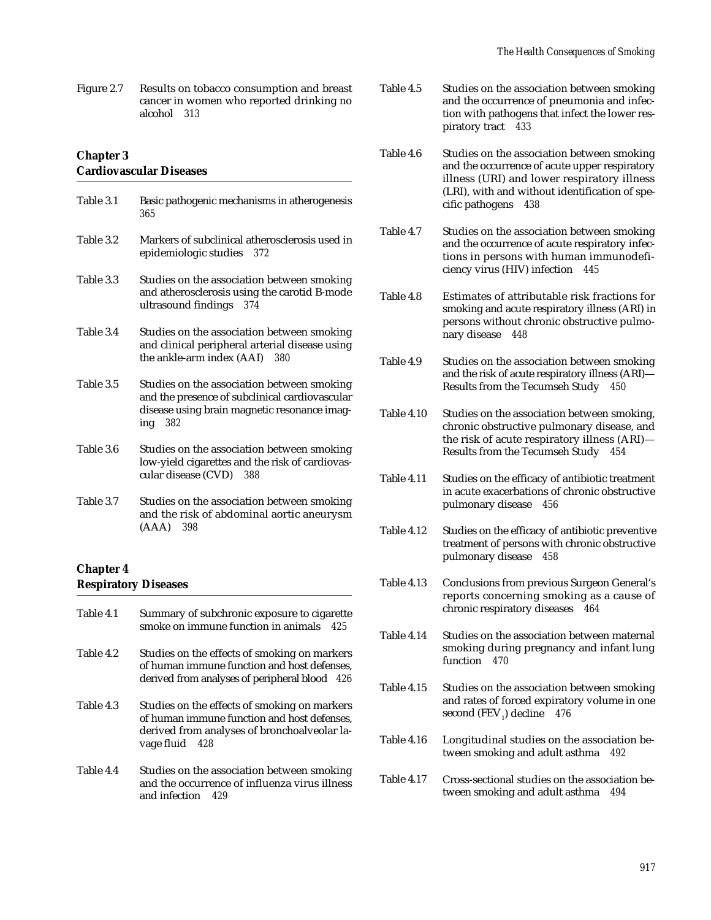Figure 2.7 Results on tobacco consumption and breast cancer in women who reported drinking no alcohol *313* 

### **Chapter 3 Cardiovascular Diseases**

| Table 3.1        | Basic pathogenic mechanisms in atherogenesis<br>365                                                                                                       |
|------------------|-----------------------------------------------------------------------------------------------------------------------------------------------------------|
| Table 3.2        | Markers of subclinical atherosclerosis used in<br>epidemiologic studies 372                                                                               |
| Table 3.3        | Studies on the association between smoking<br>and atherosclerosis using the carotid B-mode<br>ultrasound findings 374                                     |
| Table 3.4        | Studies on the association between smoking<br>and clinical peripheral arterial disease using<br>the ankle-arm index (AAI) 380                             |
| Table 3.5        | Studies on the association between smoking<br>and the presence of subclinical cardiovascular<br>disease using brain magnetic resonance imag-<br>ing $382$ |
| Table 3.6        | Studies on the association between smoking<br>low-yield cigarettes and the risk of cardiovas-<br>cular disease (CVD) 388                                  |
| Table 3.7        | Studies on the association between smoking<br>and the risk of abdominal aortic aneurysm<br>$(AAA)$ 398                                                    |
| <b>Chapter 4</b> |                                                                                                                                                           |
|                  | <b>Respiratory Diseases</b>                                                                                                                               |

| Table 4.1 | Summary of subchronic exposure to cigarette<br>smoke on immune function in animals<br>425                                                                     |
|-----------|---------------------------------------------------------------------------------------------------------------------------------------------------------------|
| Table 4.2 | Studies on the effects of smoking on markers<br>of human immune function and host defenses.<br>derived from analyses of peripheral blood 426                  |
| Table 4.3 | Studies on the effects of smoking on markers<br>of human immune function and host defenses,<br>derived from analyses of bronchoalveolar la-<br>vage fluid 428 |
| Table 4.4 | Studies on the association between smoking<br>and the occurrence of influenza virus illness<br>and infection 429                                              |

- Table 4.5 Studies on the association between smoking and the occurrence of pneumonia and infection with pathogens that infect the lower respiratory tract *433*
- Table 4.6 Studies on the association between smoking and the occurrence of acute upper respiratory illness (URI) and lower respiratory illness (LRI), with and without identification of specific pathogens *438*
- Table 4.7 Studies on the association between smoking and the occurrence of acute respiratory infections in persons with human immunodeficiency virus (HIV) infection *445*
- Table 4.8 Estimates of attributable risk fractions for smoking and acute respiratory illness (ARI) in persons without chronic obstructive pulmonary disease *448*
- Table 4.9 Studies on the association between smoking and the risk of acute respiratory illness (ARI)— Results from the Tecumseh Study *450*
- Table 4.10 Studies on the association between smoking, chronic obstructive pulmonary disease, and the risk of acute respiratory illness (ARI)— Results from the Tecumseh Study *454*
- Table 4.11 Studies on the efficacy of antibiotic treatment in acute exacerbations of chronic obstructive pulmonary disease *456*
- Table 4.12 Studies on the efficacy of antibiotic preventive treatment of persons with chronic obstructive pulmonary disease *458*
- Table 4.13 Conclusions from previous Surgeon General's reports concerning smoking as a cause of chronic respiratory diseases *464*
- Table 4.14 Studies on the association between maternal smoking during pregnancy and infant lung function *470*
- Table 4.15 Studies on the association between smoking and rates of forced expiratory volume in one second (FEV<sub>1</sub>) decline 476
- Table 4.16 Longitudinal studies on the association between smoking and adult asthma *492*
- Table 4.17 Cross-sectional studies on the association between smoking and adult asthma *494*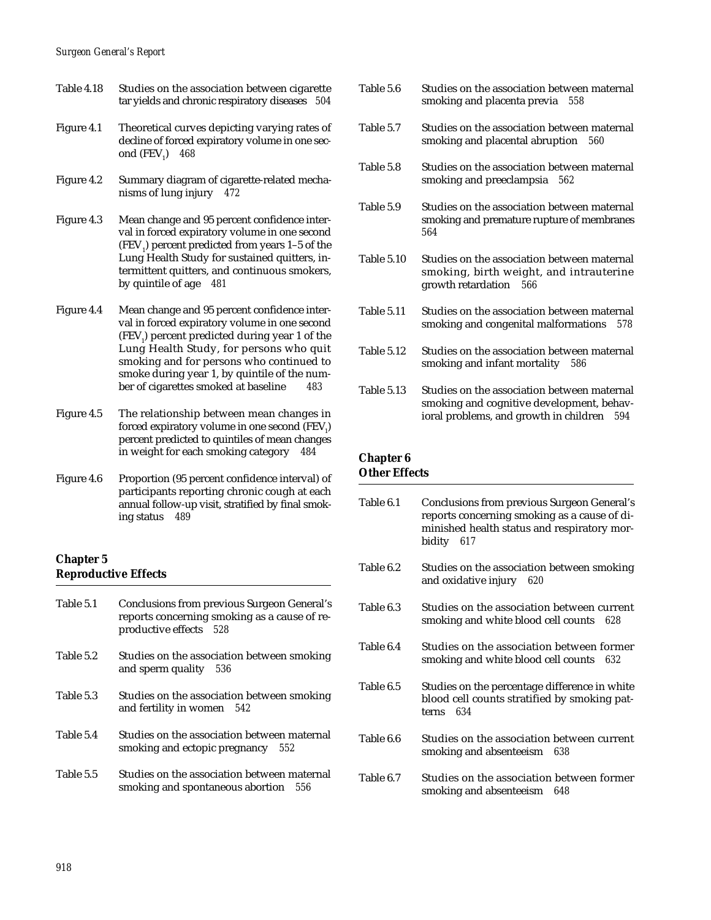#### *Surgeon General's Report*

- Table 4.18 Studies on the association between cigarette tar yields and chronic respiratory diseases *504*
- Figure 4.1 Theoretical curves depicting varying rates of decline of forced expiratory volume in one second (FEV<sub>1</sub>) 468
- Figure 4.2 Summary diagram of cigarette-related mechanisms of lung injury *472*
- Figure 4.3 Mean change and 95 percent confidence interval in forced expiratory volume in one second  $(FEV<sub>1</sub>)$  percent predicted from years 1–5 of the Lung Health Study for sustained quitters, intermittent quitters, and continuous smokers, by quintile of age *481*
- Figure 4.4 Mean change and 95 percent confidence interval in forced expiratory volume in one second (FEV<sub>1</sub>) percent predicted during year 1 of the Lung Health Study, for persons who quit smoking and for persons who continued to smoke during year 1, by quintile of the number of cigarettes smoked at baseline *483*
- Figure 4.5 The relationship between mean changes in forced expiratory volume in one second  $\rm (FEV_{_1})$ percent predicted to quintiles of mean changes in weight for each smoking category *484*
- Figure 4.6 Proportion (95 percent confidence interval) of participants reporting chronic cough at each annual follow-up visit, stratified by final smoking status *489*

## **Chapter 5 Reproductive Effects**

| Table 5.1 | Conclusions from previous Surgeon General's<br>reports concerning smoking as a cause of re-<br>productive effects 528 |
|-----------|-----------------------------------------------------------------------------------------------------------------------|
| Table 5.2 | Studies on the association between smoking<br>and sperm quality<br>- 536                                              |
| Table 5.3 | Studies on the association between smoking<br>and fertility in women $542$                                            |
| Table 5.4 | Studies on the association between maternal<br>smoking and ectopic pregnancy 552                                      |
| Table 5.5 | Studies on the association between maternal<br>smoking and spontaneous abortion<br>556                                |

- Table 5.6 Studies on the association between maternal smoking and placenta previa *558*
- Table 5.7 Studies on the association between maternal smoking and placental abruption *560*
- Table 5.8 Studies on the association between maternal smoking and preeclampsia *562*
- Table 5.9 Studies on the association between maternal smoking and premature rupture of membranes *564*
- Table 5.10 Studies on the association between maternal smoking, birth weight, and intrauterine growth retardation *566*
- Table 5.11 Studies on the association between maternal smoking and congenital malformations *578*
- Table 5.12 Studies on the association between maternal smoking and infant mortality *586*
- Table 5.13 Studies on the association between maternal smoking and cognitive development, behavioral problems, and growth in children *594*

# **Chapter 6**

## **Other Effects**

Table 6.1 Conclusions from previous Surgeon General's reports concerning smoking as a cause of diminished health status and respiratory morbidity *617*  Table 6.2 Studies on the association between smoking and oxidative injury *620*  Table 6.3 Studies on the association between current smoking and white blood cell counts *628*  Table 6.4 Studies on the association between former smoking and white blood cell counts *632*  Table 6.5 Studies on the percentage difference in white blood cell counts stratified by smoking patterns *634*  Table 6.6 Studies on the association between current smoking and absenteeism *638*  Table 6.7 Studies on the association between former smoking and absenteeism *648*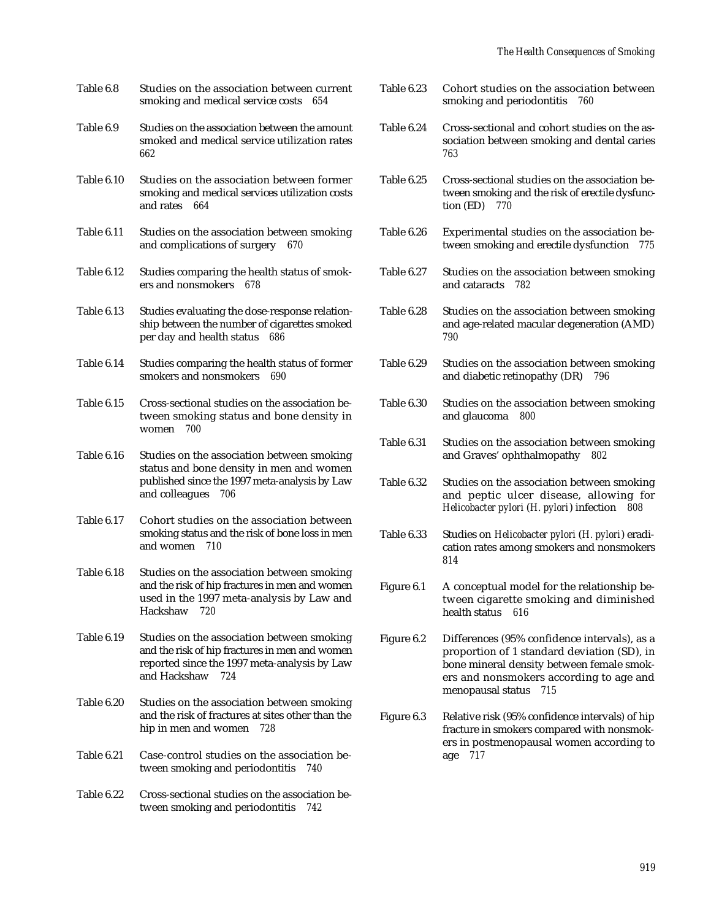| Table 6.8  | Studies on the association between current<br>smoking and medical service costs<br>654                                                                              |
|------------|---------------------------------------------------------------------------------------------------------------------------------------------------------------------|
| Table 6.9  | Studies on the association between the amount<br>smoked and medical service utilization rates<br>662                                                                |
| Table 6.10 | Studies on the association between former<br>smoking and medical services utilization costs<br>and rates<br>664                                                     |
| Table 6.11 | Studies on the association between smoking<br>and complications of surgery 670                                                                                      |
| Table 6.12 | Studies comparing the health status of smok-<br>ers and nonsmokers<br>678                                                                                           |
| Table 6.13 | Studies evaluating the dose-response relation-<br>ship between the number of cigarettes smoked<br>per day and health status<br>686                                  |
| Table 6.14 | Studies comparing the health status of former<br>smokers and nonsmokers<br>690                                                                                      |
| Table 6.15 | Cross-sectional studies on the association be-<br>tween smoking status and bone density in<br>women<br>700                                                          |
| Table 6.16 | Studies on the association between smoking<br>status and bone density in men and women<br>published since the 1997 meta-analysis by Law<br>and colleagues<br>706    |
| Table 6.17 | Cohort studies on the association between<br>smoking status and the risk of bone loss in men<br>and women<br>710                                                    |
| Table 6.18 | Studies on the association between smoking<br>and the risk of hip fractures in men and women<br>used in the 1997 meta-analysis by Law and<br>Hackshaw<br>720        |
| Table 6.19 | Studies on the association between smoking<br>and the risk of hip fractures in men and women<br>reported since the 1997 meta-analysis by Law<br>and Hackshaw<br>724 |
| Table 6.20 | Studies on the association between smoking<br>and the risk of fractures at sites other than the<br>728<br>hip in men and women                                      |
| Table 6.21 | Case-control studies on the association be-<br>tween smoking and periodontitis<br>740                                                                               |
| Table 6.22 | Cross-sectional studies on the association be-<br>tween smoking and periodontitis<br>742                                                                            |
|            |                                                                                                                                                                     |

| Table 6.23 | Cohort studies on the association between<br>smoking and periodontitis<br>760                                                                                                                                   |
|------------|-----------------------------------------------------------------------------------------------------------------------------------------------------------------------------------------------------------------|
| Table 6.24 | Cross-sectional and cohort studies on the as-<br>sociation between smoking and dental caries<br>763                                                                                                             |
| Table 6.25 | Cross-sectional studies on the association be-<br>tween smoking and the risk of erectile dysfunc-<br>tion (ED)<br>770                                                                                           |
| Table 6.26 | Experimental studies on the association be-<br>tween smoking and erectile dysfunction<br>775                                                                                                                    |
| Table 6.27 | Studies on the association between smoking<br>and cataracts<br>782                                                                                                                                              |
| Table 6.28 | Studies on the association between smoking<br>and age-related macular degeneration (AMD)<br>790                                                                                                                 |
| Table 6.29 | Studies on the association between smoking<br>and diabetic retinopathy (DR)<br>796                                                                                                                              |
| Table 6.30 | Studies on the association between smoking<br>and glaucoma<br>800                                                                                                                                               |
| Table 6.31 | Studies on the association between smoking<br>and Graves' ophthalmopathy 802                                                                                                                                    |
| Table 6.32 | Studies on the association between smoking<br>and peptic ulcer disease, allowing for<br>Helicobacter pylori (H. pylori) infection<br>808                                                                        |
| Table 6.33 | Studies on Helicobacter pylori (H. pylori) eradi-<br>cation rates among smokers and nonsmokers<br>814                                                                                                           |
| Figure 6.1 | A conceptual model for the relationship be-<br>tween cigarette smoking and diminished<br>health status<br>616                                                                                                   |
| Figure 6.2 | Differences (95% confidence intervals), as a<br>proportion of 1 standard deviation (SD), in<br>bone mineral density between female smok-<br>ers and nonsmokers according to age and<br>715<br>menopausal status |
| Figure 6.3 | Relative risk (95% confidence intervals) of hip<br>fracture in smokers compared with nonsmok-<br>ers in postmenopausal women according to<br>717<br>age                                                         |